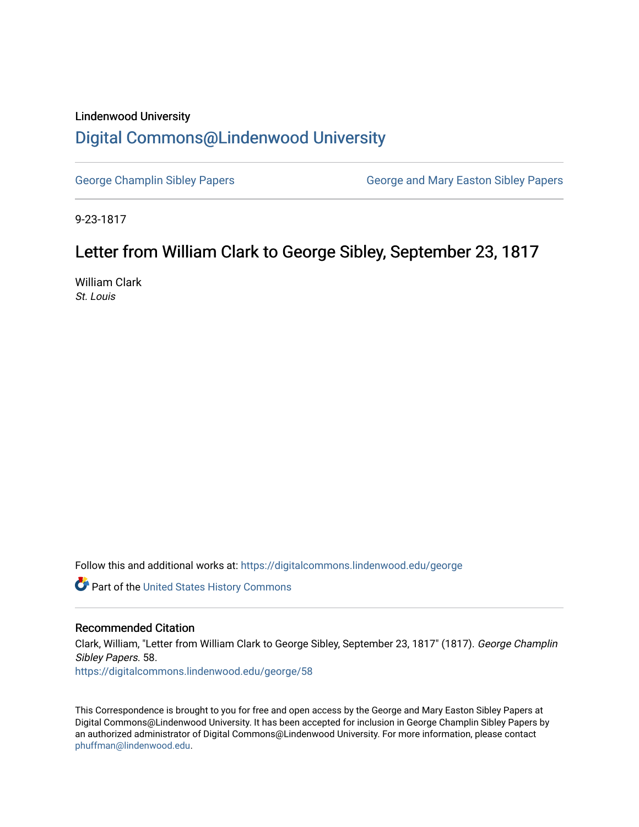## Lindenwood University [Digital Commons@Lindenwood University](https://digitalcommons.lindenwood.edu/)

[George Champlin Sibley Papers](https://digitalcommons.lindenwood.edu/george) George and Mary Easton Sibley Papers

9-23-1817

## Letter from William Clark to George Sibley, September 23, 1817

William Clark St. Louis

Follow this and additional works at: [https://digitalcommons.lindenwood.edu/george](https://digitalcommons.lindenwood.edu/george?utm_source=digitalcommons.lindenwood.edu%2Fgeorge%2F58&utm_medium=PDF&utm_campaign=PDFCoverPages)

Part of the [United States History Commons](http://network.bepress.com/hgg/discipline/495?utm_source=digitalcommons.lindenwood.edu%2Fgeorge%2F58&utm_medium=PDF&utm_campaign=PDFCoverPages) 

## Recommended Citation

Clark, William, "Letter from William Clark to George Sibley, September 23, 1817" (1817). George Champlin Sibley Papers. 58. [https://digitalcommons.lindenwood.edu/george/58](https://digitalcommons.lindenwood.edu/george/58?utm_source=digitalcommons.lindenwood.edu%2Fgeorge%2F58&utm_medium=PDF&utm_campaign=PDFCoverPages) 

This Correspondence is brought to you for free and open access by the George and Mary Easton Sibley Papers at Digital Commons@Lindenwood University. It has been accepted for inclusion in George Champlin Sibley Papers by an authorized administrator of Digital Commons@Lindenwood University. For more information, please contact [phuffman@lindenwood.edu](mailto:phuffman@lindenwood.edu).